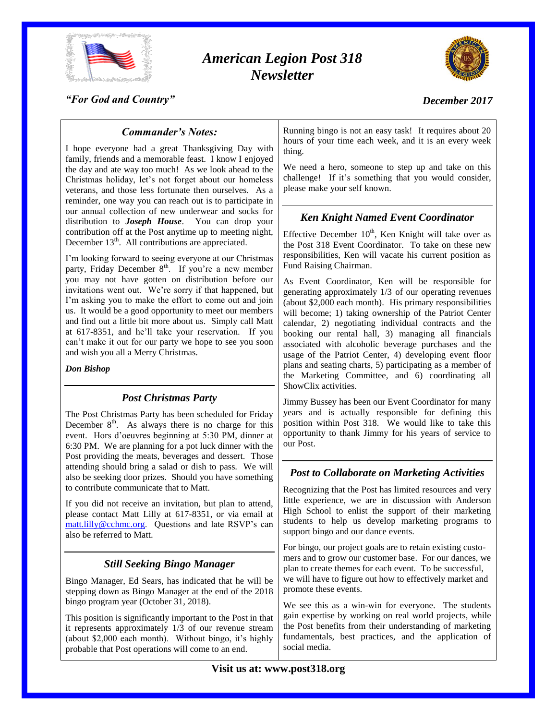

# *American Legion Post 318 Newsletter*



*"For God and Country"*

# *December 2017*

# *Commander's Notes:*

I hope everyone had a great Thanksgiving Day with family, friends and a memorable feast. I know I enjoyed the day and ate way too much! As we look ahead to the Christmas holiday, let's not forget about our homeless veterans, and those less fortunate then ourselves. As a reminder, one way you can reach out is to participate in our annual collection of new underwear and socks for distribution to *Joseph House*. You can drop your contribution off at the Post anytime up to meeting night, December  $13<sup>th</sup>$ . All contributions are appreciated.

I'm looking forward to seeing everyone at our Christmas party, Friday December 8<sup>th</sup>. If you're a new member you may not have gotten on distribution before our invitations went out. We're sorry if that happened, but I'm asking you to make the effort to come out and join us. It would be a good opportunity to meet our members and find out a little bit more about us. Simply call Matt at 617-8351, and he'll take your reservation. If you can't make it out for our party we hope to see you soon and wish you all a Merry Christmas.

*Don Bishop*

### *Post Christmas Party*

The Post Christmas Party has been scheduled for Friday December  $8<sup>th</sup>$ . As always there is no charge for this event. Hors d'oeuvres beginning at 5:30 PM, dinner at 6:30 PM. We are planning for a pot luck dinner with the Post providing the meats, beverages and dessert. Those attending should bring a salad or dish to pass. We will also be seeking door prizes. Should you have something to contribute communicate that to Matt.

If you did not receive an invitation, but plan to attend, please contact Matt Lilly at 617-8351, or via email at [matt.lilly@cchmc.org.](mailto:matt.lilly@cchmc.org) Questions and late RSVP's can also be referred to Matt.

### *Still Seeking Bingo Manager*

Bingo Manager, Ed Sears, has indicated that he will be stepping down as Bingo Manager at the end of the 2018 bingo program year (October 31, 2018).

This position is significantly important to the Post in that it represents approximately 1/3 of our revenue stream (about \$2,000 each month). Without bingo, it's highly probable that Post operations will come to an end.

Running bingo is not an easy task! It requires about 20 hours of your time each week, and it is an every week thing.

We need a hero, someone to step up and take on this challenge! If it's something that you would consider, please make your self known.

# *Ken Knight Named Event Coordinator*

Effective December  $10<sup>th</sup>$ , Ken Knight will take over as the Post 318 Event Coordinator. To take on these new responsibilities, Ken will vacate his current position as Fund Raising Chairman.

As Event Coordinator, Ken will be responsible for generating approximately 1/3 of our operating revenues (about \$2,000 each month). His primary responsibilities will become; 1) taking ownership of the Patriot Center calendar, 2) negotiating individual contracts and the booking our rental hall, 3) managing all financials associated with alcoholic beverage purchases and the usage of the Patriot Center, 4) developing event floor plans and seating charts, 5) participating as a member of the Marketing Committee, and 6) coordinating all ShowClix activities.

Jimmy Bussey has been our Event Coordinator for many years and is actually responsible for defining this position within Post 318. We would like to take this opportunity to thank Jimmy for his years of service to our Post.

### *Post to Collaborate on Marketing Activities*

Recognizing that the Post has limited resources and very little experience, we are in discussion with Anderson High School to enlist the support of their marketing students to help us develop marketing programs to support bingo and our dance events.

For bingo, our project goals are to retain existing customers and to grow our customer base. For our dances, we plan to create themes for each event. To be successful, we will have to figure out how to effectively market and promote these events.

We see this as a win-win for everyone. The students gain expertise by working on real world projects, while the Post benefits from their understanding of marketing fundamentals, best practices, and the application of social media.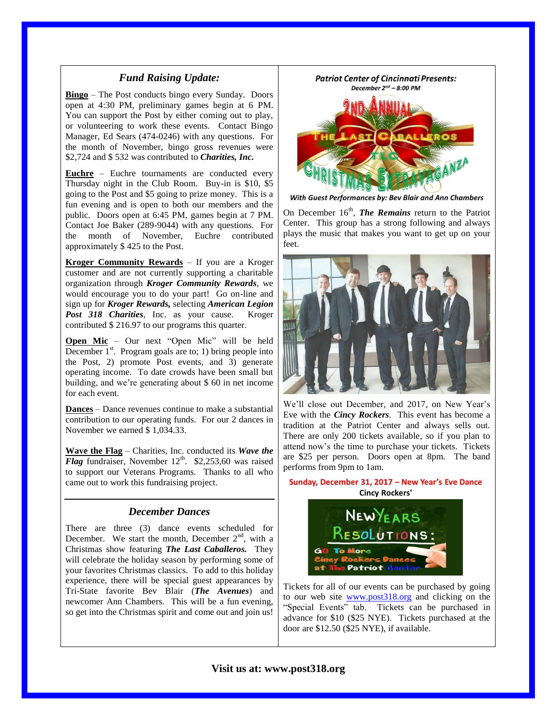#### *Fund Raising Update:*

**Bingo** – The Post conducts bingo every Sunday. Doors open at 4:30 PM, preliminary games begin at 6 PM. You can support the Post by either coming out to play, or volunteering to work these events. Contact Bingo Manager, Ed Sears (474-0246) with any questions. For the month of November, bingo gross revenues were \$2,724 and \$ 532 was contributed to *Charities, Inc.*

**Euchre** – Euchre tournaments are conducted every Thursday night in the Club Room. Buy-in is \$10, \$5 going to the Post and \$5 going to prize money. This is a fun evening and is open to both our members and the public. Doors open at 6:45 PM, games begin at 7 PM. Contact Joe Baker (289-9044) with any questions. For the month of November, Euchre contributed approximately \$ 425 to the Post.

**Kroger Community Rewards** – If you are a Kroger customer and are not currently supporting a charitable organization through *Kroger Community Rewards*, we would encourage you to do your part! Go on-line and sign up for *Kroger Rewards,* selecting *American Legion Post 318 Charities*, Inc. as your cause. Kroger contributed \$ 216.97 to our programs this quarter.

**Open Mic** – Our next "Open Mic" will be held December  $1<sup>st</sup>$ . Program goals are to; 1) bring people into the Post, 2) promote Post events, and 3) generate operating income. To date crowds have been small but building, and we're generating about \$ 60 in net income for each event.

**Dances** – Dance revenues continue to make a substantial contribution to our operating funds. For our 2 dances in November we earned \$ 1,034.33.

**Wave the Flag** – Charities, Inc. conducted its *Wave the Flag* fundraiser, November  $12<sup>th</sup>$ . \$2,253,60 was raised to support our Veterans Programs. Thanks to all who came out to work this fundraising project.

#### *December Dances*

There are three (3) dance events scheduled for December. We start the month, December  $2<sup>nd</sup>$ , with a Christmas show featuring *The Last Caballeros.* They will celebrate the holiday season by performing some of your favorites Christmas classics. To add to this holiday experience, there will be special guest appearances by Tri-State favorite Bev Blair (*The Avenues*) and newcomer Ann Chambers. This will be a fun evening, so get into the Christmas spirit and come out and join us!



With Guest Performances by: Bev Blair and Ann Chambers

On December 16<sup>th</sup>, *The Remains* return to the Patriot Center. This group has a strong following and always plays the music that makes you want to get up on your feet.



We'll close out December, and 2017, on New Year's Eve with the *Cincy Rockers*. This event has become a tradition at the Patriot Center and always sells out. There are only 200 tickets available, so if you plan to attend now's the time to purchase your tickets. Tickets are \$25 per person. Doors open at 8pm. The band performs from 9pm to 1am.

# Sunday, December 31, 2017 - New Year's Eve Dance **Cincy Rockers'** NEWYEARS



Tickets for all of our events can be purchased by going to our web site [www.post318.org](http://www.post318.org/) and clicking on the "Special Events" tab. Tickets can be purchased in advance for \$10 (\$25 NYE). Tickets purchased at the door are \$12.50 (\$25 NYE), if available.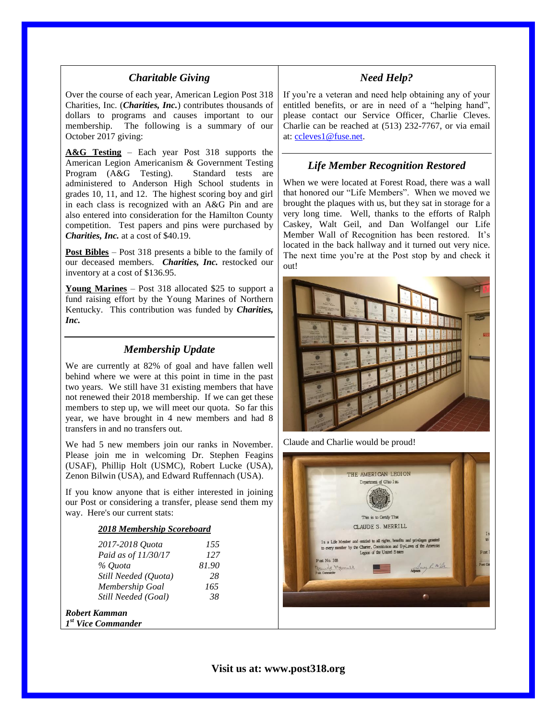#### *Charitable Giving*

Over the course of each year, American Legion Post 318 Charities, Inc. (*Charities, Inc.*) contributes thousands of dollars to programs and causes important to our membership. The following is a summary of our October 2017 giving:

**A&G Testing** – Each year Post 318 supports the American Legion Americanism & Government Testing Program (A&G Testing). Standard tests are administered to Anderson High School students in grades 10, 11, and 12. The highest scoring boy and girl in each class is recognized with an A&G Pin and are also entered into consideration for the Hamilton County competition. Test papers and pins were purchased by *Charities, Inc.* at a cost of \$40.19.

**Post Bibles** – Post 318 presents a bible to the family of our deceased members. *Charities, Inc.* restocked our inventory at a cost of \$136.95.

**Young Marines** – Post 318 allocated \$25 to support a fund raising effort by the Young Marines of Northern Kentucky. This contribution was funded by *Charities, Inc.*

# *Membership Update*

We are currently at 82% of goal and have fallen well behind where we were at this point in time in the past two years. We still have 31 existing members that have not renewed their 2018 membership. If we can get these members to step up, we will meet our quota. So far this year, we have brought in 4 new members and had 8 transfers in and no transfers out.

We had 5 new members join our ranks in November. Please join me in welcoming Dr. Stephen Feagins (USAF), Phillip Holt (USMC), Robert Lucke (USA), Zenon Bilwin (USA), and Edward Ruffennach (USA).

If you know anyone that is either interested in joining our Post or considering a transfer, please send them my way. Here's our current stats:

#### *2018 Membership Scoreboard*

| 2017-2018 Ouota      | 155   |
|----------------------|-------|
| Paid as of 11/30/17  | 127   |
| % Ouota              | 81.90 |
| Still Needed (Quota) | 28    |
| Membership Goal      | 165   |
| Still Needed (Goal)  | 38    |
| Kamman               |       |

*1 st Vice Commander*

*Robert Kamman*

#### *Need Help?*

If you're a veteran and need help obtaining any of your entitled benefits, or are in need of a "helping hand", please contact our Service Officer, Charlie Cleves. Charlie can be reached at (513) 232-7767, or via email at: [ccleves1@fuse.net.](mailto:ccleves1@fuse.net)

#### *Life Member Recognition Restored*

When we were located at Forest Road, there was a wall that honored our "Life Members". When we moved we brought the plaques with us, but they sat in storage for a very long time. Well, thanks to the efforts of Ralph Caskey, Walt Geil, and Dan Wolfangel our Life Member Wall of Recognition has been restored. It's located in the back hallway and it turned out very nice. The next time you're at the Post stop by and check it out!



Claude and Charlie would be proud!

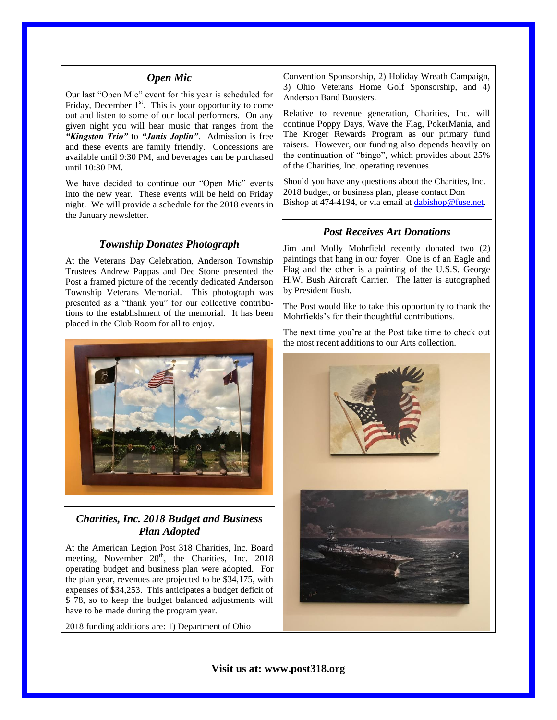#### *Open Mic*

Our last "Open Mic" event for this year is scheduled for Friday, December  $1<sup>st</sup>$ . This is your opportunity to come out and listen to some of our local performers. On any given night you will hear music that ranges from the *"Kingston Trio"* to *"Janis Joplin"*. Admission is free and these events are family friendly. Concessions are available until 9:30 PM, and beverages can be purchased until 10:30 PM.

We have decided to continue our "Open Mic" events into the new year. These events will be held on Friday night. We will provide a schedule for the 2018 events in the January newsletter.

#### *Township Donates Photograph*

At the Veterans Day Celebration, Anderson Township Trustees Andrew Pappas and Dee Stone presented the Post a framed picture of the recently dedicated Anderson Township Veterans Memorial. This photograph was presented as a "thank you" for our collective contributions to the establishment of the memorial. It has been placed in the Club Room for all to enjoy.



#### *Charities, Inc. 2018 Budget and Business Plan Adopted*

At the American Legion Post 318 Charities, Inc. Board meeting, November  $20<sup>th</sup>$ , the Charities, Inc. 2018 operating budget and business plan were adopted. For the plan year, revenues are projected to be \$34,175, with expenses of \$34,253. This anticipates a budget deficit of \$ 78, so to keep the budget balanced adjustments will have to be made during the program year.

2018 funding additions are: 1) Department of Ohio

Convention Sponsorship, 2) Holiday Wreath Campaign, 3) Ohio Veterans Home Golf Sponsorship, and 4) Anderson Band Boosters.

Relative to revenue generation, Charities, Inc. will continue Poppy Days, Wave the Flag, PokerMania, and The Kroger Rewards Program as our primary fund raisers. However, our funding also depends heavily on the continuation of "bingo", which provides about 25% of the Charities, Inc. operating revenues.

Should you have any questions about the Charities, Inc. 2018 budget, or business plan, please contact Don Bishop at 474-4194, or via email at [dabishop@fuse.net.](mailto:dabishop@fuse.net)

#### *Post Receives Art Donations*

Jim and Molly Mohrfield recently donated two (2) paintings that hang in our foyer. One is of an Eagle and Flag and the other is a painting of the U.S.S. George H.W. Bush Aircraft Carrier. The latter is autographed by President Bush.

The Post would like to take this opportunity to thank the Mohrfields's for their thoughtful contributions.

The next time you're at the Post take time to check out the most recent additions to our Arts collection.

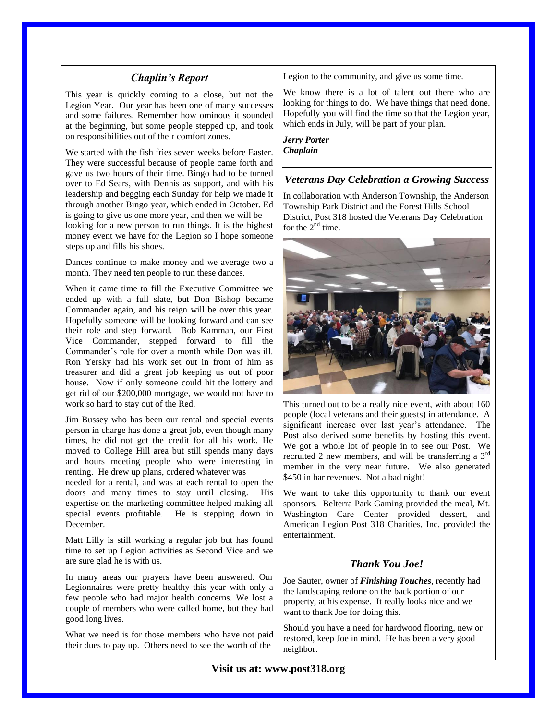#### *Chaplin's Report*

This year is quickly coming to a close, but not the Legion Year. Our year has been one of many successes and some failures. Remember how ominous it sounded at the beginning, but some people stepped up, and took on responsibilities out of their comfort zones.

We started with the fish fries seven weeks before Easter. They were successful because of people came forth and gave us two hours of their time. Bingo had to be turned over to Ed Sears, with Dennis as support, and with his leadership and begging each Sunday for help we made it through another Bingo year, which ended in October. Ed is going to give us one more year, and then we will be looking for a new person to run things. It is the highest money event we have for the Legion so I hope someone steps up and fills his shoes.

Dances continue to make money and we average two a month. They need ten people to run these dances.

When it came time to fill the Executive Committee we ended up with a full slate, but Don Bishop became Commander again, and his reign will be over this year. Hopefully someone will be looking forward and can see their role and step forward. Bob Kamman, our First Vice Commander, stepped forward to fill the Commander's role for over a month while Don was ill. Ron Yersky had his work set out in front of him as treasurer and did a great job keeping us out of poor house. Now if only someone could hit the lottery and get rid of our \$200,000 mortgage, we would not have to work so hard to stay out of the Red.

Jim Bussey who has been our rental and special events person in charge has done a great job, even though many times, he did not get the credit for all his work. He moved to College Hill area but still spends many days and hours meeting people who were interesting in renting. He drew up plans, ordered whatever was needed for a rental, and was at each rental to open the

doors and many times to stay until closing. His expertise on the marketing committee helped making all special events profitable. He is stepping down in December.

Matt Lilly is still working a regular job but has found time to set up Legion activities as Second Vice and we are sure glad he is with us.

In many areas our prayers have been answered. Our Legionnaires were pretty healthy this year with only a few people who had major health concerns. We lost a couple of members who were called home, but they had good long lives.

What we need is for those members who have not paid their dues to pay up. Others need to see the worth of the

Legion to the community, and give us some time.

We know there is a lot of talent out there who are looking for things to do. We have things that need done. Hopefully you will find the time so that the Legion year, which ends in July, will be part of your plan.

*Jerry Porter Chaplain*

#### *Veterans Day Celebration a Growing Success*

In collaboration with Anderson Township, the Anderson Township Park District and the Forest Hills School District, Post 318 hosted the Veterans Day Celebration for the  $2<sup>nd</sup>$  time.



This turned out to be a really nice event, with about 160 people (local veterans and their guests) in attendance. A significant increase over last year's attendance. The Post also derived some benefits by hosting this event. We got a whole lot of people in to see our Post. We recruited 2 new members, and will be transferring a 3rd member in the very near future. We also generated \$450 in bar revenues. Not a bad night!

We want to take this opportunity to thank our event sponsors. Belterra Park Gaming provided the meal, Mt. Washington Care Center provided dessert, and American Legion Post 318 Charities, Inc. provided the entertainment.

### *Thank You Joe!*

Joe Sauter, owner of *Finishing Touches*, recently had the landscaping redone on the back portion of our property, at his expense. It really looks nice and we want to thank Joe for doing this.

Should you have a need for hardwood flooring, new or restored, keep Joe in mind. He has been a very good neighbor.